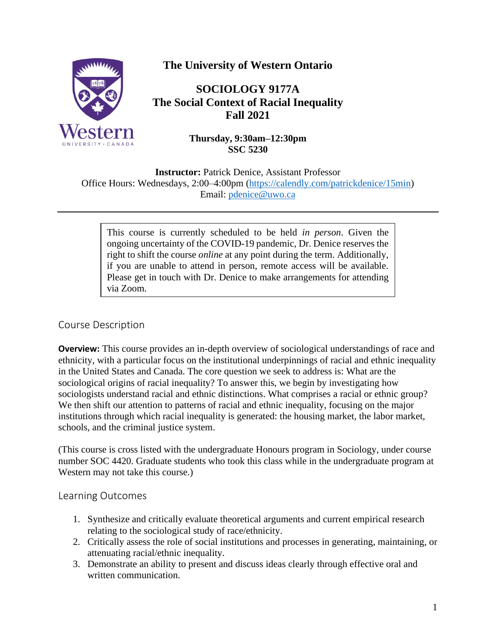

# **The University of Western Ontario**

# **SOCIOLOGY 9177A The Social Context of Racial Inequality Fall 2021**

**Thursday, 9:30am–12:30pm SSC 5230**

**Instructor:** Patrick Denice, Assistant Professor Office Hours: Wednesdays, 2:00–4:00pm [\(https://calendly.com/patrickdenice/15min\)](https://calendly.com/patrickdenice/15min) Email: [pdenice@uwo.ca](mailto:pdenice@uwo.ca)

This course is currently scheduled to be held *in person*. Given the ongoing uncertainty of the COVID-19 pandemic, Dr. Denice reserves the right to shift the course *online* at any point during the term. Additionally, if you are unable to attend in person, remote access will be available. Please get in touch with Dr. Denice to make arrangements for attending via Zoom.

### Course Description

**Overview:** This course provides an in-depth overview of sociological understandings of race and ethnicity, with a particular focus on the institutional underpinnings of racial and ethnic inequality in the United States and Canada. The core question we seek to address is: What are the sociological origins of racial inequality? To answer this, we begin by investigating how sociologists understand racial and ethnic distinctions. What comprises a racial or ethnic group? We then shift our attention to patterns of racial and ethnic inequality, focusing on the major institutions through which racial inequality is generated: the housing market, the labor market, schools, and the criminal justice system.

(This course is cross listed with the undergraduate Honours program in Sociology, under course number SOC 4420. Graduate students who took this class while in the undergraduate program at Western may not take this course.)

### Learning Outcomes

- 1. Synthesize and critically evaluate theoretical arguments and current empirical research relating to the sociological study of race/ethnicity.
- 2. Critically assess the role of social institutions and processes in generating, maintaining, or attenuating racial/ethnic inequality.
- 3. Demonstrate an ability to present and discuss ideas clearly through effective oral and written communication.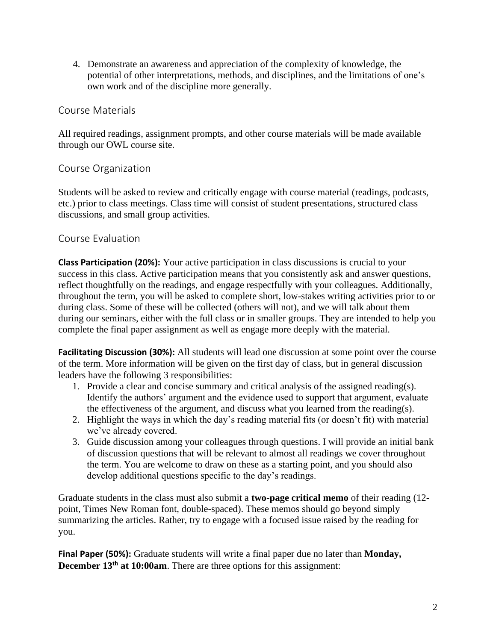4. Demonstrate an awareness and appreciation of the complexity of knowledge, the potential of other interpretations, methods, and disciplines, and the limitations of one's own work and of the discipline more generally.

### Course Materials

All required readings, assignment prompts, and other course materials will be made available through our OWL course site.

### Course Organization

Students will be asked to review and critically engage with course material (readings, podcasts, etc.) prior to class meetings. Class time will consist of student presentations, structured class discussions, and small group activities.

### Course Evaluation

**Class Participation (20%):** Your active participation in class discussions is crucial to your success in this class. Active participation means that you consistently ask and answer questions, reflect thoughtfully on the readings, and engage respectfully with your colleagues. Additionally, throughout the term, you will be asked to complete short, low-stakes writing activities prior to or during class. Some of these will be collected (others will not), and we will talk about them during our seminars, either with the full class or in smaller groups. They are intended to help you complete the final paper assignment as well as engage more deeply with the material.

**Facilitating Discussion (30%):** All students will lead one discussion at some point over the course of the term. More information will be given on the first day of class, but in general discussion leaders have the following 3 responsibilities:

- 1. Provide a clear and concise summary and critical analysis of the assigned reading(s). Identify the authors' argument and the evidence used to support that argument, evaluate the effectiveness of the argument, and discuss what you learned from the reading(s).
- 2. Highlight the ways in which the day's reading material fits (or doesn't fit) with material we've already covered.
- 3. Guide discussion among your colleagues through questions. I will provide an initial bank of discussion questions that will be relevant to almost all readings we cover throughout the term. You are welcome to draw on these as a starting point, and you should also develop additional questions specific to the day's readings.

Graduate students in the class must also submit a **two-page critical memo** of their reading (12 point, Times New Roman font, double-spaced). These memos should go beyond simply summarizing the articles. Rather, try to engage with a focused issue raised by the reading for you.

**Final Paper (50%):** Graduate students will write a final paper due no later than **Monday, December 13<sup>th</sup> at 10:00am**. There are three options for this assignment: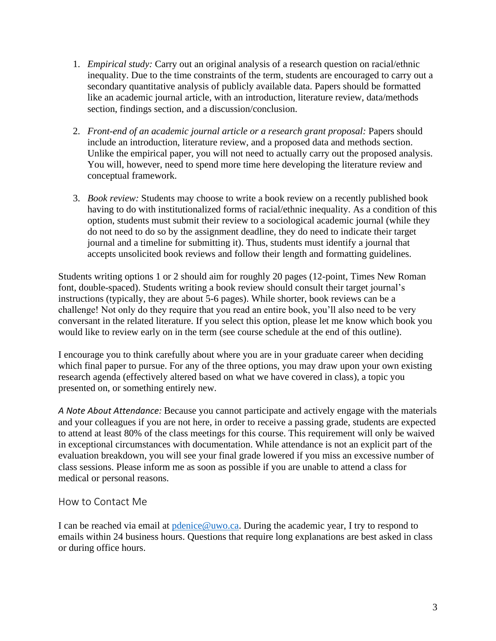- 1. *Empirical study:* Carry out an original analysis of a research question on racial/ethnic inequality. Due to the time constraints of the term, students are encouraged to carry out a secondary quantitative analysis of publicly available data. Papers should be formatted like an academic journal article, with an introduction, literature review, data/methods section, findings section, and a discussion/conclusion.
- 2. *Front-end of an academic journal article or a research grant proposal:* Papers should include an introduction, literature review, and a proposed data and methods section. Unlike the empirical paper, you will not need to actually carry out the proposed analysis. You will, however, need to spend more time here developing the literature review and conceptual framework.
- 3. *Book review:* Students may choose to write a book review on a recently published book having to do with institutionalized forms of racial/ethnic inequality. As a condition of this option, students must submit their review to a sociological academic journal (while they do not need to do so by the assignment deadline, they do need to indicate their target journal and a timeline for submitting it). Thus, students must identify a journal that accepts unsolicited book reviews and follow their length and formatting guidelines.

Students writing options 1 or 2 should aim for roughly 20 pages (12-point, Times New Roman font, double-spaced). Students writing a book review should consult their target journal's instructions (typically, they are about 5-6 pages). While shorter, book reviews can be a challenge! Not only do they require that you read an entire book, you'll also need to be very conversant in the related literature. If you select this option, please let me know which book you would like to review early on in the term (see course schedule at the end of this outline).

I encourage you to think carefully about where you are in your graduate career when deciding which final paper to pursue. For any of the three options, you may draw upon your own existing research agenda (effectively altered based on what we have covered in class), a topic you presented on, or something entirely new.

*A Note About Attendance:* Because you cannot participate and actively engage with the materials and your colleagues if you are not here, in order to receive a passing grade, students are expected to attend at least 80% of the class meetings for this course. This requirement will only be waived in exceptional circumstances with documentation. While attendance is not an explicit part of the evaluation breakdown, you will see your final grade lowered if you miss an excessive number of class sessions. Please inform me as soon as possible if you are unable to attend a class for medical or personal reasons.

### How to Contact Me

I can be reached via email at [pdenice@uwo.ca.](mailto:pdenice@uwo.ca) During the academic year, I try to respond to emails within 24 business hours. Questions that require long explanations are best asked in class or during office hours.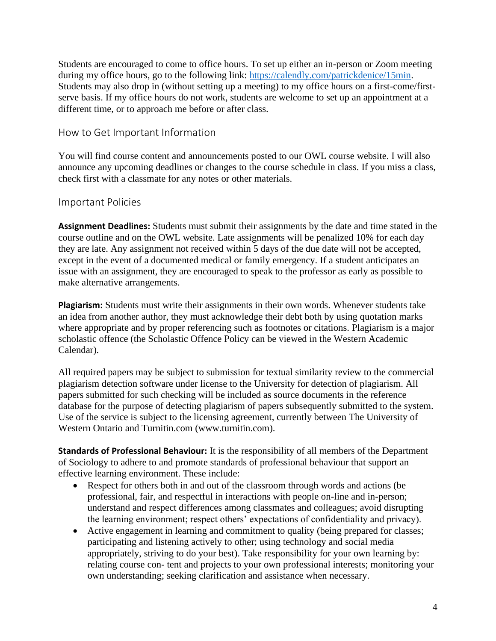Students are encouraged to come to office hours. To set up either an in-person or Zoom meeting during my office hours, go to the following link: [https://calendly.com/patrickdenice/15min.](https://calendly.com/patrickdenice/15min) Students may also drop in (without setting up a meeting) to my office hours on a first-come/firstserve basis. If my office hours do not work, students are welcome to set up an appointment at a different time, or to approach me before or after class.

### How to Get Important Information

You will find course content and announcements posted to our OWL course website. I will also announce any upcoming deadlines or changes to the course schedule in class. If you miss a class, check first with a classmate for any notes or other materials.

### Important Policies

**Assignment Deadlines:** Students must submit their assignments by the date and time stated in the course outline and on the OWL website. Late assignments will be penalized 10% for each day they are late. Any assignment not received within 5 days of the due date will not be accepted, except in the event of a documented medical or family emergency. If a student anticipates an issue with an assignment, they are encouraged to speak to the professor as early as possible to make alternative arrangements.

**Plagiarism:** Students must write their assignments in their own words. Whenever students take an idea from another author, they must acknowledge their debt both by using quotation marks where appropriate and by proper referencing such as footnotes or citations. Plagiarism is a major scholastic offence (the Scholastic Offence Policy can be viewed in the Western Academic Calendar).

All required papers may be subject to submission for textual similarity review to the commercial plagiarism detection software under license to the University for detection of plagiarism. All papers submitted for such checking will be included as source documents in the reference database for the purpose of detecting plagiarism of papers subsequently submitted to the system. Use of the service is subject to the licensing agreement, currently between The University of Western Ontario and Turnitin.com (www.turnitin.com).

**Standards of Professional Behaviour:** It is the responsibility of all members of the Department of Sociology to adhere to and promote standards of professional behaviour that support an effective learning environment. These include:

- Respect for others both in and out of the classroom through words and actions (be professional, fair, and respectful in interactions with people on-line and in-person; understand and respect differences among classmates and colleagues; avoid disrupting the learning environment; respect others' expectations of confidentiality and privacy).
- Active engagement in learning and commitment to quality (being prepared for classes; participating and listening actively to other; using technology and social media appropriately, striving to do your best). Take responsibility for your own learning by: relating course con- tent and projects to your own professional interests; monitoring your own understanding; seeking clarification and assistance when necessary.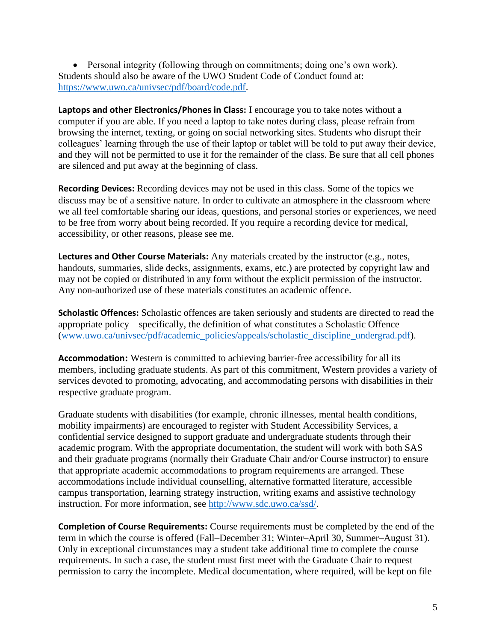• Personal integrity (following through on commitments; doing one's own work). Students should also be aware of the UWO Student Code of Conduct found at: [https://www.uwo.ca/univsec/pdf/board/code.pdf.](https://www.uwo.ca/univsec/pdf/board/code.pdf)

**Laptops and other Electronics/Phones in Class:** I encourage you to take notes without a computer if you are able. If you need a laptop to take notes during class, please refrain from browsing the internet, texting, or going on social networking sites. Students who disrupt their colleagues' learning through the use of their laptop or tablet will be told to put away their device, and they will not be permitted to use it for the remainder of the class. Be sure that all cell phones are silenced and put away at the beginning of class.

**Recording Devices:** Recording devices may not be used in this class. Some of the topics we discuss may be of a sensitive nature. In order to cultivate an atmosphere in the classroom where we all feel comfortable sharing our ideas, questions, and personal stories or experiences, we need to be free from worry about being recorded. If you require a recording device for medical, accessibility, or other reasons, please see me.

**Lectures and Other Course Materials:** Any materials created by the instructor (e.g., notes, handouts, summaries, slide decks, assignments, exams, etc.) are protected by copyright law and may not be copied or distributed in any form without the explicit permission of the instructor. Any non-authorized use of these materials constitutes an academic offence.

**Scholastic Offences:** Scholastic offences are taken seriously and students are directed to read the appropriate policy—specifically, the definition of what constitutes a Scholastic Offence [\(www.uwo.ca/univsec/pdf/academic\\_policies/appeals/scholastic\\_discipline\\_undergrad.pdf\)](http://www.uwo.ca/univsec/pdf/academic_policies/appeals/scholastic_discipline_undergrad.pdf).

**Accommodation:** Western is committed to achieving barrier-free accessibility for all its members, including graduate students. As part of this commitment, Western provides a variety of services devoted to promoting, advocating, and accommodating persons with disabilities in their respective graduate program.

Graduate students with disabilities (for example, chronic illnesses, mental health conditions, mobility impairments) are encouraged to register with Student Accessibility Services, a confidential service designed to support graduate and undergraduate students through their academic program. With the appropriate documentation, the student will work with both SAS and their graduate programs (normally their Graduate Chair and/or Course instructor) to ensure that appropriate academic accommodations to program requirements are arranged. These accommodations include individual counselling, alternative formatted literature, accessible campus transportation, learning strategy instruction, writing exams and assistive technology instruction. For more information, see [http://www.sdc.uwo.ca/ssd/.](http://www.sdc.uwo.ca/ssd/)

**Completion of Course Requirements:** Course requirements must be completed by the end of the term in which the course is offered (Fall–December 31; Winter–April 30, Summer–August 31). Only in exceptional circumstances may a student take additional time to complete the course requirements. In such a case, the student must first meet with the Graduate Chair to request permission to carry the incomplete. Medical documentation, where required, will be kept on file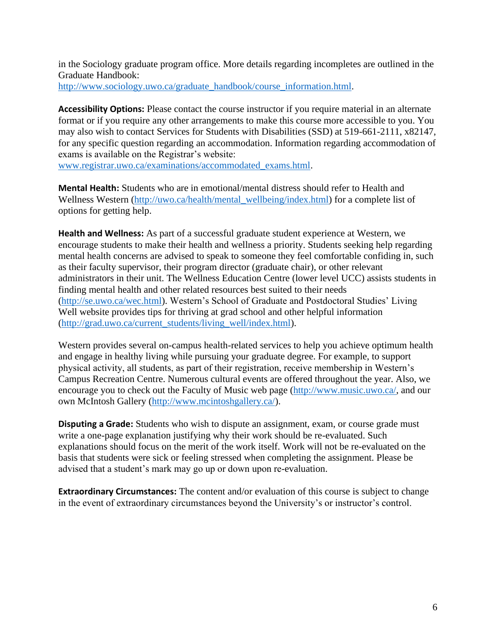in the Sociology graduate program office. More details regarding incompletes are outlined in the Graduate Handbook:

[http://www.sociology.uwo.ca/graduate\\_handbook/course\\_information.html.](http://www.sociology.uwo.ca/graduate_handbook/course_information.html)

**Accessibility Options:** Please contact the course instructor if you require material in an alternate format or if you require any other arrangements to make this course more accessible to you. You may also wish to contact Services for Students with Disabilities (SSD) at 519-661-2111, x82147, for any specific question regarding an accommodation. Information regarding accommodation of exams is available on the Registrar's website:

[www.registrar.uwo.ca/examinations/accommodated\\_exams.html.](http://www.registrar.uwo.ca/examinations/accommodated_exams.html)

**Mental Health:** Students who are in emotional/mental distress should refer to Health and Wellness Western [\(http://uwo.ca/health/mental\\_wellbeing/index.html\)](http://uwo.ca/health/mental_wellbeing/index.html) for a complete list of options for getting help.

**Health and Wellness:** As part of a successful graduate student experience at Western, we encourage students to make their health and wellness a priority. Students seeking help regarding mental health concerns are advised to speak to someone they feel comfortable confiding in, such as their faculty supervisor, their program director (graduate chair), or other relevant administrators in their unit. The Wellness Education Centre (lower level UCC) assists students in finding mental health and other related resources best suited to their needs [\(http://se.uwo.ca/wec.html\)](http://se.uwo.ca/wec.html). Western's School of Graduate and Postdoctoral Studies' Living Well website provides tips for thriving at grad school and other helpful information [\(http://grad.uwo.ca/current\\_students/living\\_well/index.html\)](http://grad.uwo.ca/current_students/living_well/index.html).

Western provides several on-campus health-related services to help you achieve optimum health and engage in healthy living while pursuing your graduate degree. For example, to support physical activity, all students, as part of their registration, receive membership in Western's Campus Recreation Centre. Numerous cultural events are offered throughout the year. Also, we encourage you to check out the Faculty of Music web page [\(http://www.music.uwo.ca/,](http://www.music.uwo.ca/) and our own McIntosh Gallery [\(http://www.mcintoshgallery.ca/\)](http://www.mcintoshgallery.ca/).

**Disputing a Grade:** Students who wish to dispute an assignment, exam, or course grade must write a one-page explanation justifying why their work should be re-evaluated. Such explanations should focus on the merit of the work itself. Work will not be re-evaluated on the basis that students were sick or feeling stressed when completing the assignment. Please be advised that a student's mark may go up or down upon re-evaluation.

**Extraordinary Circumstances:** The content and/or evaluation of this course is subject to change in the event of extraordinary circumstances beyond the University's or instructor's control.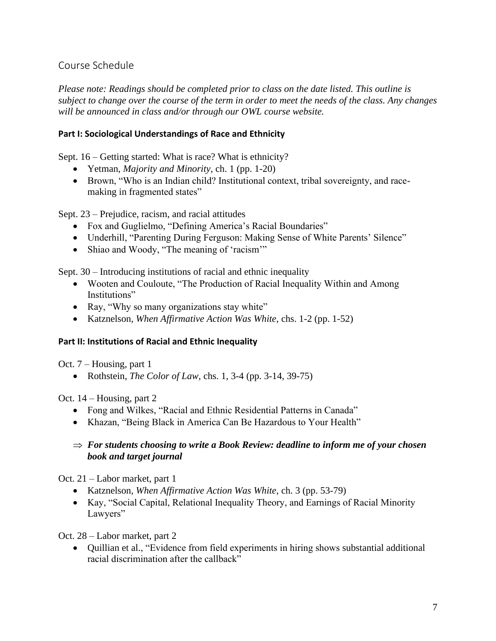## Course Schedule

*Please note: Readings should be completed prior to class on the date listed. This outline is subject to change over the course of the term in order to meet the needs of the class. Any changes will be announced in class and/or through our OWL course website.* 

### **Part I: Sociological Understandings of Race and Ethnicity**

Sept. 16 – Getting started: What is race? What is ethnicity?

- Yetman, *Majority and Minority*, ch. 1 (pp. 1-20)
- Brown, "Who is an Indian child? Institutional context, tribal sovereignty, and racemaking in fragmented states"

Sept. 23 – Prejudice, racism, and racial attitudes

- Fox and Guglielmo, "Defining America's Racial Boundaries"
- Underhill, "Parenting During Ferguson: Making Sense of White Parents' Silence"
- Shiao and Woody, "The meaning of 'racism'"

Sept. 30 – Introducing institutions of racial and ethnic inequality

- Wooten and Couloute, "The Production of Racial Inequality Within and Among Institutions"
- Ray, "Why so many organizations stay white"
- Katznelson, *When Affirmative Action Was White*, chs. 1-2 (pp. 1-52)

### **Part II: Institutions of Racial and Ethnic Inequality**

Oct. 7 – Housing, part 1

• Rothstein, *The Color of Law*, chs. 1, 3-4 (pp. 3-14, 39-75)

Oct. 14 – Housing, part 2

- Fong and Wilkes, "Racial and Ethnic Residential Patterns in Canada"
- Khazan, "Being Black in America Can Be Hazardous to Your Health"

### $\Rightarrow$  For students choosing to write a Book Review: deadline to inform me of your chosen *book and target journal*

Oct. 21 – Labor market, part 1

- Katznelson, *When Affirmative Action Was White*, ch. 3 (pp. 53-79)
- Kay, "Social Capital, Relational Inequality Theory, and Earnings of Racial Minority Lawyers"

Oct. 28 – Labor market, part 2

• Quillian et al., "Evidence from field experiments in hiring shows substantial additional racial discrimination after the callback"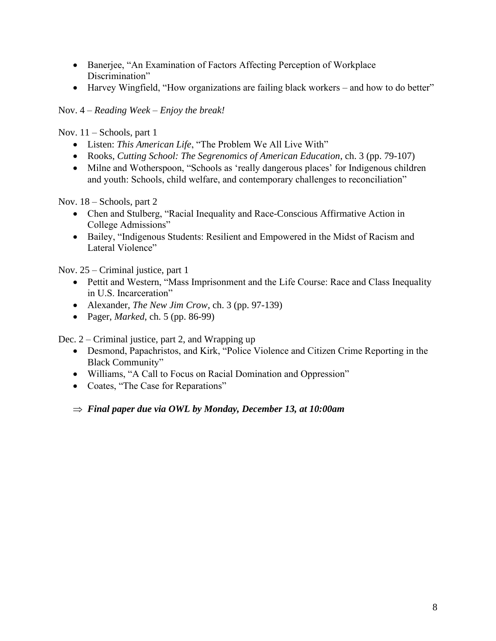- Banerjee, "An Examination of Factors Affecting Perception of Workplace Discrimination"
- Harvey Wingfield, "How organizations are failing black workers and how to do better"

Nov. 4 – *Reading Week – Enjoy the break!*

Nov. 11 – Schools, part 1

- Listen: *This American Life*, "The Problem We All Live With"
- Rooks, *Cutting School: The Segrenomics of American Education*, ch. 3 (pp. 79-107)
- Milne and Wotherspoon, "Schools as 'really dangerous places' for Indigenous children and youth: Schools, child welfare, and contemporary challenges to reconciliation"

Nov. 18 – Schools, part 2

- Chen and Stulberg, "Racial Inequality and Race-Conscious Affirmative Action in College Admissions"
- Bailey, "Indigenous Students: Resilient and Empowered in the Midst of Racism and Lateral Violence"

Nov. 25 – Criminal justice, part 1

- Pettit and Western, "Mass Imprisonment and the Life Course: Race and Class Inequality in U.S. Incarceration"
- Alexander, *The New Jim Crow*, ch. 3 (pp. 97-139)
- Pager, *Marked*, ch. 5 (pp. 86-99)

Dec. 2 – Criminal justice, part 2, and Wrapping up

- Desmond, Papachristos, and Kirk, "Police Violence and Citizen Crime Reporting in the Black Community"
- Williams, "A Call to Focus on Racial Domination and Oppression"
- Coates, "The Case for Reparations"

*Final paper due via OWL by Monday, December 13, at 10:00am*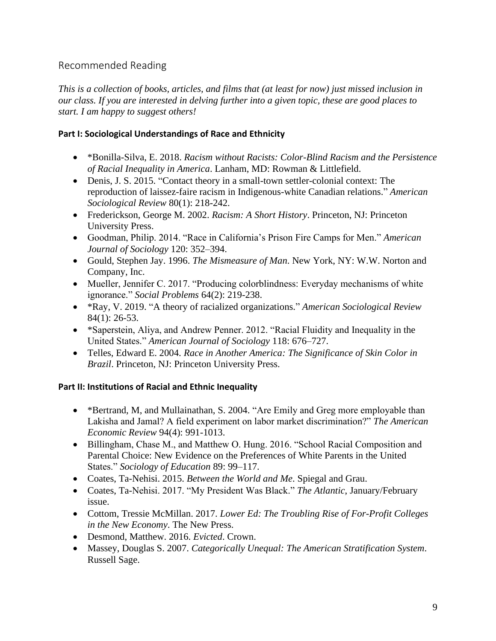## Recommended Reading

*This is a collection of books, articles, and films that (at least for now) just missed inclusion in our class. If you are interested in delving further into a given topic, these are good places to start. I am happy to suggest others!*

### **Part I: Sociological Understandings of Race and Ethnicity**

- \*Bonilla-Silva, E. 2018. *Racism without Racists: Color-Blind Racism and the Persistence of Racial Inequality in America*. Lanham, MD: Rowman & Littlefield.
- Denis, J. S. 2015. "Contact theory in a small-town settler-colonial context: The reproduction of laissez-faire racism in Indigenous-white Canadian relations." *American Sociological Review* 80(1): 218-242.
- Frederickson, George M. 2002. *Racism: A Short History*. Princeton, NJ: Princeton University Press.
- Goodman, Philip. 2014. "Race in California's Prison Fire Camps for Men." *American Journal of Sociology* 120: 352–394.
- Gould, Stephen Jay. 1996. *The Mismeasure of Man*. New York, NY: W.W. Norton and Company, Inc.
- Mueller, Jennifer C. 2017. "Producing colorblindness: Everyday mechanisms of white ignorance." *Social Problems* 64(2): 219-238.
- \*Ray, V. 2019. "A theory of racialized organizations." *American Sociological Review* 84(1): 26-53.
- \*Saperstein, Aliya, and Andrew Penner. 2012. "Racial Fluidity and Inequality in the United States." *American Journal of Sociology* 118: 676–727.
- Telles, Edward E. 2004. *Race in Another America: The Significance of Skin Color in Brazil*. Princeton, NJ: Princeton University Press.

### **Part II: Institutions of Racial and Ethnic Inequality**

- \*Bertrand, M, and Mullainathan, S. 2004. "Are Emily and Greg more employable than Lakisha and Jamal? A field experiment on labor market discrimination?" *The American Economic Review* 94(4): 991-1013.
- Billingham, Chase M., and Matthew O. Hung. 2016. "School Racial Composition and Parental Choice: New Evidence on the Preferences of White Parents in the United States." *Sociology of Education* 89: 99–117.
- Coates, Ta-Nehisi. 2015. *Between the World and Me*. Spiegal and Grau.
- Coates, Ta-Nehisi. 2017. "My President Was Black." *The Atlantic*, January/February issue.
- Cottom, Tressie McMillan. 2017. *Lower Ed: The Troubling Rise of For-Profit Colleges in the New Economy*. The New Press.
- Desmond, Matthew. 2016. *Evicted*. Crown.
- Massey, Douglas S. 2007. *Categorically Unequal: The American Stratification System*. Russell Sage.